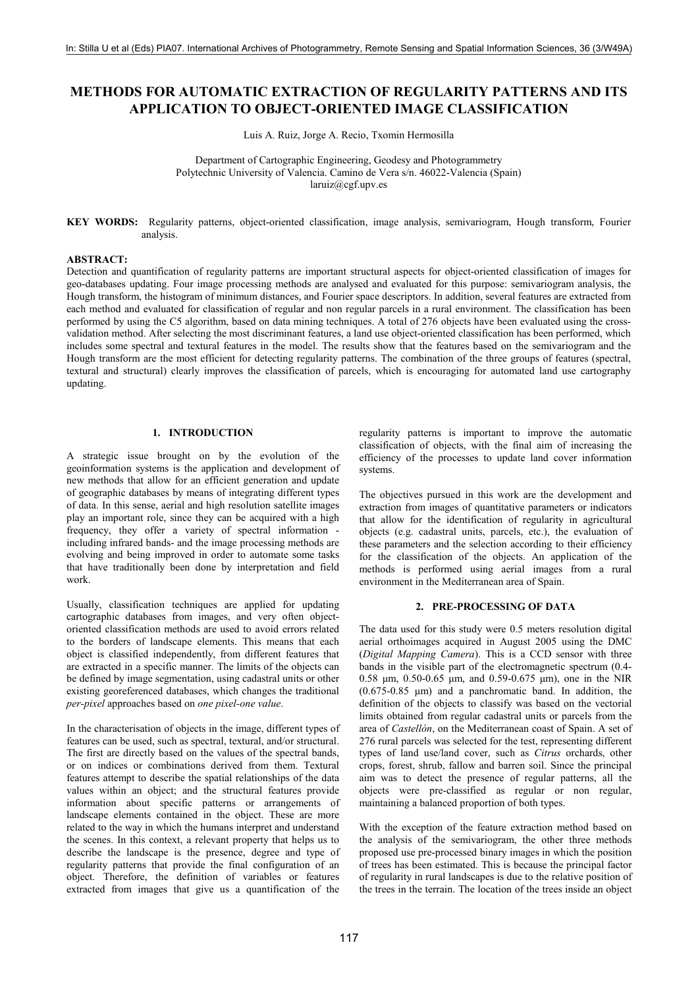# **METHODS FOR AUTOMATIC EXTRACTION OF REGULARITY PATTERNS AND ITS APPLICATION TO OBJECT-ORIENTED IMAGE CLASSIFICATION**

Luis A. Ruiz, Jorge A. Recio, Txomin Hermosilla

Department of Cartographic Engineering, Geodesy and Photogrammetry Polytechnic University of Valencia. Camino de Vera s/n. 46022-Valencia (Spain) laruiz@cgf.upv.es

KEY WORDS: Regularity patterns, object-oriented classification, image analysis, semivariogram, Hough transform, Fourier analysis.

#### **ABSTRACT:**

Detection and quantification of regularity patterns are important structural aspects for object-oriented classification of images for geo-databases updating. Four image processing methods are analysed and evaluated for this purpose: semivariogram analysis, the Hough transform, the histogram of minimum distances, and Fourier space descriptors. In addition, several features are extracted from each method and evaluated for classification of regular and non regular parcels in a rural environment. The classification has been performed by using the C5 algorithm, based on data mining techniques. A total of 276 objects have been evaluated using the crossvalidation method. After selecting the most discriminant features, a land use object-oriented classification has been performed, which includes some spectral and textural features in the model. The results show that the features based on the semivariogram and the Hough transform are the most efficient for detecting regularity patterns. The combination of the three groups of features (spectral, textural and structural) clearly improves the classification of parcels, which is encouraging for automated land use cartography updating.

# 1 INTRODUCTION

A strategic issue brought on by the evolution of the geoinformation systems is the application and development of new methods that allow for an efficient generation and update of geographic databases by means of integrating different types of data. In this sense, aerial and high resolution satellite images play an important role, since they can be acquired with a high frequency, they offer a variety of spectral information including infrared bands- and the image processing methods are evolving and being improved in order to automate some tasks that have traditionally been done by interpretation and field work.

Usually, classification techniques are applied for updating cartographic databases from images, and very often objectoriented classification methods are used to avoid errors related to the borders of landscape elements. This means that each object is classified independently, from different features that are extracted in a specific manner. The limits of the objects can be defined by image segmentation, using cadastral units or other existing georeferenced databases, which changes the traditional per-pixel approaches based on one pixel-one value.

In the characterisation of objects in the image, different types of features can be used, such as spectral, textural, and/or structural. The first are directly based on the values of the spectral bands, or on indices or combinations derived from them. Textural features attempt to describe the spatial relationships of the data values within an object; and the structural features provide information about specific patterns or arrangements of landscape elements contained in the object. These are more related to the way in which the humans interpret and understand the scenes. In this context, a relevant property that helps us to describe the landscape is the presence, degree and type of regularity patterns that provide the final configuration of an object. Therefore, the definition of variables or features extracted from images that give us a quantification of the

regularity patterns is important to improve the automatic classification of objects, with the final aim of increasing the efficiency of the processes to update land cover information systems.

The objectives pursued in this work are the development and extraction from images of quantitative parameters or indicators that allow for the identification of regularity in agricultural objects (e.g. cadastral units, parcels, etc.), the evaluation of these parameters and the selection according to their efficiency for the classification of the objects. An application of the methods is performed using aerial images from a rural environment in the Mediterranean area of Spain.

### 2. PRE-PROCESSING OF DATA

The data used for this study were 0.5 meters resolution digital aerial orthoimages acquired in August 2005 using the DMC (Digital Mapping Camera). This is a CCD sensor with three bands in the visible part of the electromagnetic spectrum (0.4-0.58  $\mu$ m, 0.50-0.65  $\mu$ m, and 0.59-0.675  $\mu$ m), one in the NIR  $(0.675-0.85 \mu m)$  and a panchromatic band. In addition, the definition of the objects to classify was based on the vectorial limits obtained from regular cadastral units or parcels from the area of *Castellón*, on the Mediterranean coast of Spain. A set of 276 rural parcels was selected for the test, representing different types of land use/land cover, such as *Citrus* orchards, other crops, forest, shrub, fallow and barren soil. Since the principal aim was to detect the presence of regular patterns, all the objects were pre-classified as regular or non regular, maintaining a balanced proportion of both types.

With the exception of the feature extraction method based on the analysis of the semivariogram, the other three methods proposed use pre-processed binary images in which the position of trees has been estimated. This is because the principal factor of regularity in rural landscapes is due to the relative position of the trees in the terrain. The location of the trees inside an object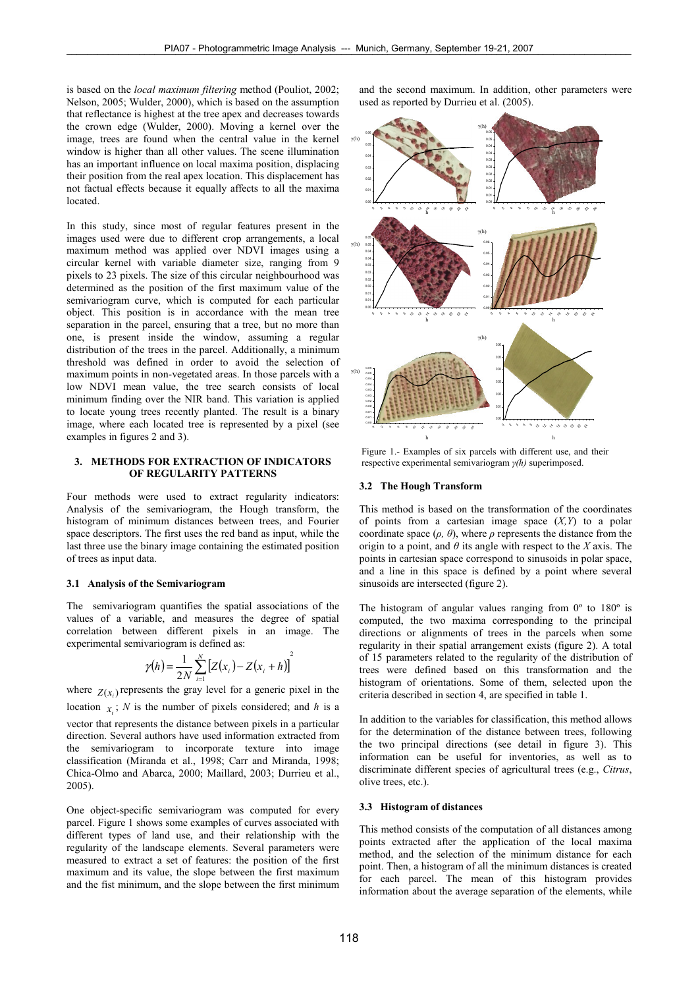is based on the *local maximum filtering* method (Pouliot, 2002; Nelson, 2005; Wulder, 2000), which is based on the assumption that reflectance is highest at the tree apex and decreases towards the crown edge (Wulder, 2000). Moving a kernel over the image, trees are found when the central value in the kernel window is higher than all other values. The scene illumination has an important influence on local maxima position, displacing their position from the real apex location. This displacement has not factual effects because it equally affects to all the maxima located.

In this study, since most of regular features present in the images used were due to different crop arrangements, a local maximum method was applied over NDVI images using a circular kernel with variable diameter size, ranging from 9 pixels to 23 pixels. The size of this circular neighbourhood was determined as the position of the first maximum value of the semivariogram curve, which is computed for each particular object. This position is in accordance with the mean tree separation in the parcel, ensuring that a tree, but no more than one, is present inside the window, assuming a regular distribution of the trees in the parcel. Additionally, a minimum threshold was defined in order to avoid the selection of maximum points in non-vegetated areas. In those parcels with a low NDVI mean value, the tree search consists of local minimum finding over the NIR band. This variation is applied to locate young trees recently planted. The result is a binary image, where each located tree is represented by a pixel (see examples in figures 2 and 3).

### 3. METHODS FOR EXTRACTION OF INDICATORS OF REGULARITY PATTERNS

Four methods were used to extract regularity indicators: Analysis of the semivariogram, the Hough transform, the histogram of minimum distances between trees, and Fourier space descriptors. The first uses the red band as input, while the last three use the binary image containing the estimated position of trees as input data.

### 3.1 Analysis of the Semivariogram

The semivariogram quantifies the spatial associations of the values of a variable, and measures the degree of spatial correlation between different pixels in an image. The experimental semivariogram is defined as:

$$
\gamma(h) = \frac{1}{2N} \sum_{i=1}^{N} [Z(x_i) - Z(x_i + h)]^2
$$

where  $Z(x)$  represents the gray level for a generic pixel in the location  $x_i$ ; N is the number of pixels considered; and h is a vector that represents the distance between pixels in a particular direction. Several authors have used information extracted from the semivariogram to incorporate texture into image classification (Miranda et al., 1998; Carr and Miranda, 1998; Chica-Olmo and Abarca, 2000; Maillard, 2003; Durrieu et al.,  $2005$ ).

One object-specific semivariogram was computed for every parcel. Figure 1 shows some examples of curves associated with different types of land use, and their relationship with the regularity of the landscape elements. Several parameters were measured to extract a set of features: the position of the first maximum and its value, the slope between the first maximum and the fist minimum, and the slope between the first minimum and the second maximum. In addition, other parameters were used as reported by Durrieu et al. (2005).



Figure 1.- Examples of six parcels with different use, and their respective experimental semivariogram  $\gamma(h)$  superimposed.

#### 3.2 The Hough Transform

This method is based on the transformation of the coordinates of points from a cartesian image space  $(X, Y)$  to a polar coordinate space  $(\rho, \theta)$ , where  $\rho$  represents the distance from the origin to a point, and  $\theta$  its angle with respect to the X axis. The points in cartesian space correspond to sinusoids in polar space, and a line in this space is defined by a point where several sinusoids are intersected (figure 2).

The histogram of angular values ranging from  $0^{\circ}$  to  $180^{\circ}$  is computed, the two maxima corresponding to the principal directions or alignments of trees in the parcels when some regularity in their spatial arrangement exists (figure 2). A total of 15 parameters related to the regularity of the distribution of trees were defined based on this transformation and the histogram of orientations. Some of them, selected upon the criteria described in section 4, are specified in table 1.

In addition to the variables for classification, this method allows for the determination of the distance between trees, following the two principal directions (see detail in figure 3). This information can be useful for inventories, as well as to discriminate different species of agricultural trees (e.g., Citrus, olive trees, etc.).

# 3.3 Histogram of distances

This method consists of the computation of all distances among points extracted after the application of the local maxima method, and the selection of the minimum distance for each point. Then, a histogram of all the minimum distances is created for each parcel. The mean of this histogram provides information about the average separation of the elements, while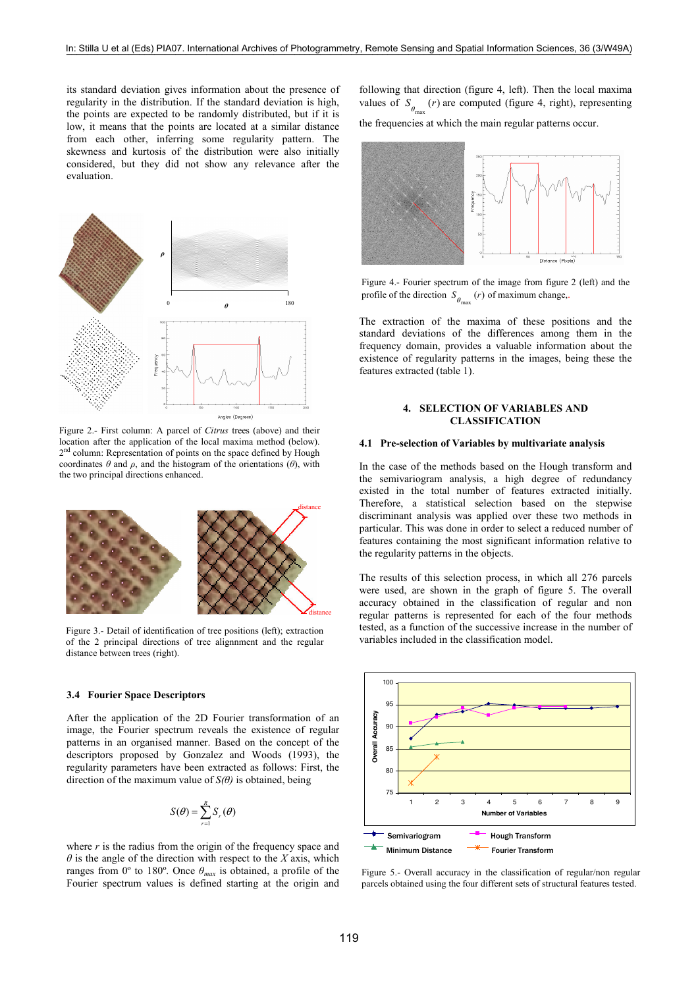its standard deviation gives information about the presence of regularity in the distribution. If the standard deviation is high, the points are expected to be randomly distributed, but if it is low, it means that the points are located at a similar distance from each other, inferring some regularity pattern. The skewness and kurtosis of the distribution were also initially considered, but they did not show any relevance after the evaluation



Figure 2.- First column: A parcel of Citrus trees (above) and their location after the application of the local maxima method (below). 2<sup>nd</sup> column: Representation of points on the space defined by Hough coordinates  $\theta$  and  $\rho$ , and the histogram of the orientations ( $\theta$ ), with the two principal directions enhanced.



Figure 3.- Detail of identification of tree positions (left); extraction of the 2 principal directions of tree alignment and the regular distance between trees (right).

#### **3.4 Fourier Space Descriptors**

After the application of the 2D Fourier transformation of an image, the Fourier spectrum reveals the existence of regular patterns in an organised manner. Based on the concept of the descriptors proposed by Gonzalez and Woods (1993), the regularity parameters have been extracted as follows: First, the direction of the maximum value of  $S(\theta)$  is obtained, being

$$
S(\boldsymbol{\theta}) = \sum_{r=1}^{R} S_r(\boldsymbol{\theta})
$$

where  $r$  is the radius from the origin of the frequency space and  $\theta$  is the angle of the direction with respect to the X axis, which ranges from 0° to 180°. Once  $\theta_{max}$  is obtained, a profile of the Fourier spectrum values is defined starting at the origin and following that direction (figure 4, left). Then the local maxima values of  $S_{\theta}$  (*r*) are computed (figure 4, right), representing the frequencies at which the main regular patterns occur.



Figure 4.- Fourier spectrum of the image from figure 2 (left) and the profile of the direction  $S_{\theta_{\text{max}}}(r)$  of maximum change,

The extraction of the maxima of these positions and the standard deviations of the differences among them in the frequency domain, provides a valuable information about the existence of regularity patterns in the images, being these the features extracted (table 1).

### **4. SELECTION OF VARIABLES AND CLASSIFICATION**

### 4.1 Pre-selection of Variables by multivariate analysis

In the case of the methods based on the Hough transform and the semivariogram analysis, a high degree of redundancy existed in the total number of features extracted initially. Therefore, a statistical selection based on the stepwise discriminant analysis was applied over these two methods in particular. This was done in order to select a reduced number of features containing the most significant information relative to the regularity patterns in the objects.

The results of this selection process, in which all 276 parcels were used, are shown in the graph of figure 5. The overall accuracy obtained in the classification of regular and non regular patterns is represented for each of the four methods tested, as a function of the successive increase in the number of variables included in the classification model



Figure 5.- Overall accuracy in the classification of regular/non regular parcels obtained using the four different sets of structural features tested.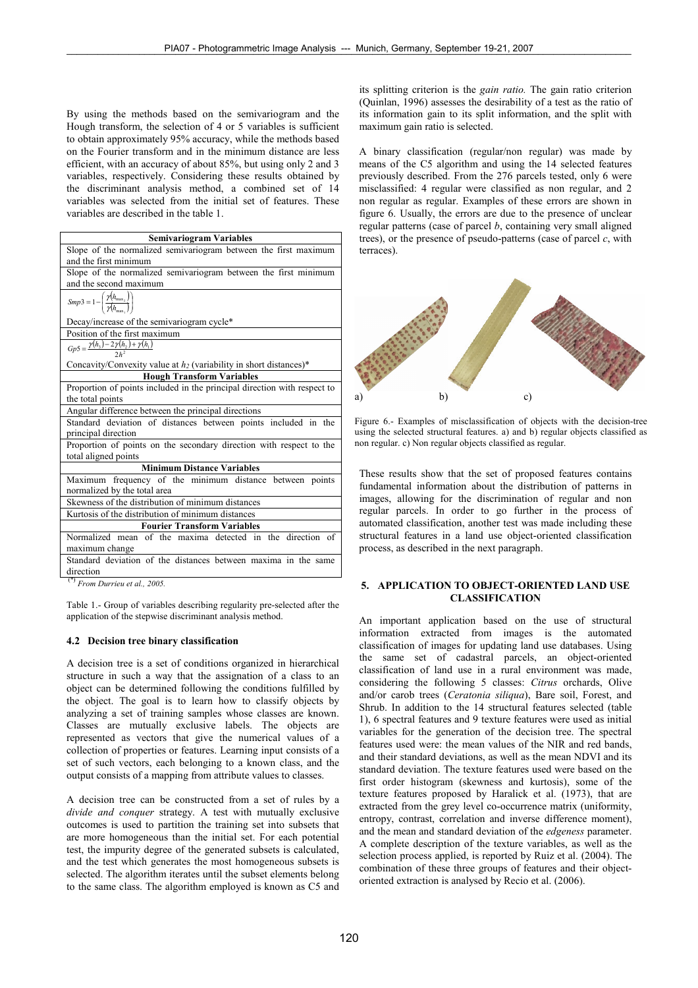By using the methods based on the semivariogram and the Hough transform, the selection of 4 or 5 variables is sufficient to obtain approximately 95% accuracy, while the methods based on the Fourier transform and in the minimum distance are less efficient, with an accuracy of about 85%, but using only 2 and 3 variables, respectively. Considering these results obtained by the discriminant analysis method, a combined set of 14 variables was selected from the initial set of features. These variables are described in the table 1.

| <b>Semivariogram Variables</b>                                                           |  |  |  |  |  |  |
|------------------------------------------------------------------------------------------|--|--|--|--|--|--|
| Slope of the normalized semivariogram between the first maximum                          |  |  |  |  |  |  |
| and the first minimum                                                                    |  |  |  |  |  |  |
| Slope of the normalized semivariogram between the first minimum                          |  |  |  |  |  |  |
| and the second maximum                                                                   |  |  |  |  |  |  |
| $Smp3 = 1 - \left(\frac{\gamma(h_{\text{max}_2})}{\gamma(h_{\text{max}})}\right)$        |  |  |  |  |  |  |
| Decay/increase of the semivariogram cycle*                                               |  |  |  |  |  |  |
| Position of the first maximum                                                            |  |  |  |  |  |  |
| $Gp5 = \frac{\gamma(h_3) - 2\gamma(h_2) + \gamma(h_1)}{2h^2}$                            |  |  |  |  |  |  |
| Concavity/Convexity value at $h_2$ (variability in short distances)*                     |  |  |  |  |  |  |
| <b>Hough Transform Variables</b>                                                         |  |  |  |  |  |  |
| Proportion of points included in the principal direction with respect to                 |  |  |  |  |  |  |
| the total points                                                                         |  |  |  |  |  |  |
| Angular difference between the principal directions                                      |  |  |  |  |  |  |
| Standard deviation of distances between points included in the                           |  |  |  |  |  |  |
| principal direction                                                                      |  |  |  |  |  |  |
| Proportion of points on the secondary direction with respect to the                      |  |  |  |  |  |  |
| total aligned points                                                                     |  |  |  |  |  |  |
| <b>Minimum Distance Variables</b>                                                        |  |  |  |  |  |  |
| Maximum frequency of the minimum distance between points<br>normalized by the total area |  |  |  |  |  |  |
| Skewness of the distribution of minimum distances                                        |  |  |  |  |  |  |
| Kurtosis of the distribution of minimum distances                                        |  |  |  |  |  |  |
| <b>Fourier Transform Variables</b>                                                       |  |  |  |  |  |  |
| Normalized mean of the maxima detected in the direction of                               |  |  |  |  |  |  |
| maximum change                                                                           |  |  |  |  |  |  |
| Standard deviation of the distances between maxima in the same                           |  |  |  |  |  |  |
| direction                                                                                |  |  |  |  |  |  |

 $(*)$  From Durrieu et al., 2005.

Table 1.- Group of variables describing regularity pre-selected after the application of the stepwise discriminant analysis method.

### 4.2 Decision tree binary classification

A decision tree is a set of conditions organized in hierarchical structure in such a way that the assignation of a class to an object can be determined following the conditions fulfilled by the object. The goal is to learn how to classify objects by analyzing a set of training samples whose classes are known. Classes are mutually exclusive labels. The objects are represented as vectors that give the numerical values of a collection of properties or features. Learning input consists of a set of such vectors, each belonging to a known class, and the output consists of a mapping from attribute values to classes.

A decision tree can be constructed from a set of rules by a divide and conquer strategy. A test with mutually exclusive outcomes is used to partition the training set into subsets that are more homogeneous than the initial set. For each potential test, the impurity degree of the generated subsets is calculated, and the test which generates the most homogeneous subsets is selected. The algorithm iterates until the subset elements belong to the same class. The algorithm employed is known as C5 and

its splitting criterion is the *gain ratio*. The gain ratio criterion (Ouinlan, 1996) assesses the desirability of a test as the ratio of its information gain to its split information, and the split with maximum gain ratio is selected.

A binary classification (regular/non regular) was made by means of the C5 algorithm and using the 14 selected features previously described. From the 276 parcels tested, only 6 were misclassified: 4 regular were classified as non regular, and 2 non regular as regular. Examples of these errors are shown in figure 6. Usually, the errors are due to the presence of unclear regular patterns (case of parcel  $b$ , containing very small aligned trees), or the presence of pseudo-patterns (case of parcel  $c$ , with terraces).



Figure 6.- Examples of misclassification of objects with the decision-tree using the selected structural features. a) and b) regular objects classified as non regular. c) Non regular objects classified as regular.

These results show that the set of proposed features contains fundamental information about the distribution of patterns in images, allowing for the discrimination of regular and non regular parcels. In order to go further in the process of automated classification, another test was made including these structural features in a land use object-oriented classification process, as described in the next paragraph.

# 5. APPLICATION TO OBJECT-ORIENTED LAND USE **CLASSIFICATION**

An important application based on the use of structural information extracted from images is the automated classification of images for updating land use databases. Using the same set of cadastral parcels, an object-oriented classification of land use in a rural environment was made, considering the following 5 classes: Citrus orchards, Olive and/or carob trees (Ceratonia siliqua), Bare soil, Forest, and Shrub. In addition to the 14 structural features selected (table 1), 6 spectral features and 9 texture features were used as initial variables for the generation of the decision tree. The spectral features used were: the mean values of the NIR and red bands, and their standard deviations, as well as the mean NDVI and its standard deviation. The texture features used were based on the first order histogram (skewness and kurtosis), some of the texture features proposed by Haralick et al. (1973), that are extracted from the grey level co-occurrence matrix (uniformity, entropy, contrast, correlation and inverse difference moment), and the mean and standard deviation of the edgeness parameter. A complete description of the texture variables, as well as the selection process applied, is reported by Ruiz et al. (2004). The combination of these three groups of features and their objectoriented extraction is analysed by Recio et al. (2006).